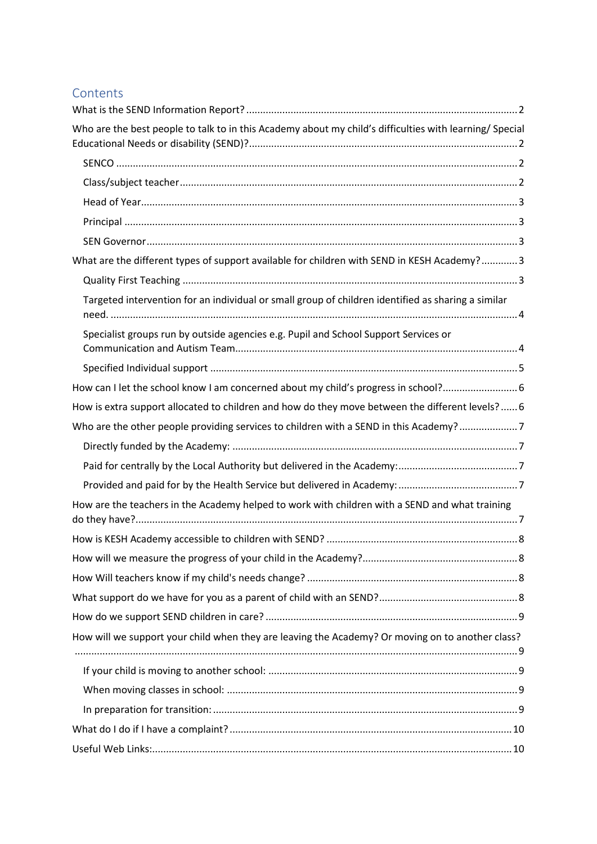## Contents

| Who are the best people to talk to in this Academy about my child's difficulties with learning/ Special |
|---------------------------------------------------------------------------------------------------------|
|                                                                                                         |
|                                                                                                         |
|                                                                                                         |
|                                                                                                         |
|                                                                                                         |
| What are the different types of support available for children with SEND in KESH Academy? 3             |
|                                                                                                         |
| Targeted intervention for an individual or small group of children identified as sharing a similar      |
| Specialist groups run by outside agencies e.g. Pupil and School Support Services or                     |
|                                                                                                         |
| How can I let the school know I am concerned about my child's progress in school?6                      |
| How is extra support allocated to children and how do they move between the different levels?  6        |
| Who are the other people providing services to children with a SEND in this Academy?7                   |
|                                                                                                         |
|                                                                                                         |
|                                                                                                         |
| How are the teachers in the Academy helped to work with children with a SEND and what training          |
|                                                                                                         |
|                                                                                                         |
|                                                                                                         |
|                                                                                                         |
|                                                                                                         |
| How will we support your child when they are leaving the Academy? Or moving on to another class?        |
|                                                                                                         |
|                                                                                                         |
|                                                                                                         |
|                                                                                                         |
|                                                                                                         |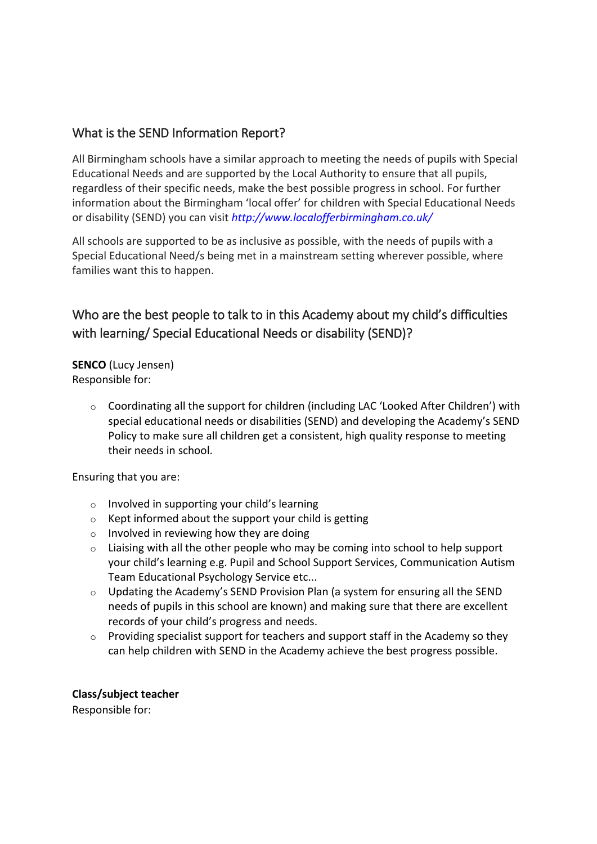### <span id="page-1-0"></span>What is the SEND Information Report?

All Birmingham schools have a similar approach to meeting the needs of pupils with Special Educational Needs and are supported by the Local Authority to ensure that all pupils, regardless of their specific needs, make the best possible progress in school. For further information about the Birmingham 'local offer' for children with Special Educational Needs or disability (SEND) you can visit *[http://www.localofferbirmingham.co.uk/](http://www.google.com/url?q=http%3A%2F%2Fwww.localofferbirmingham.co.uk%2F&sa=D&sntz=1&usg=AFQjCNET-A9MYyI2_liAUzTl1bkJ-ykQkw)*

All schools are supported to be as inclusive as possible, with the needs of pupils with a Special Educational Need/s being met in a mainstream setting wherever possible, where families want this to happen.

# <span id="page-1-1"></span>Who are the best people to talk to in this Academy about my child's difficulties with learning/ Special Educational Needs or disability (SEND)?

<span id="page-1-2"></span>**SENCO** (Lucy Jensen) Responsible for:

> o Coordinating all the support for children (including LAC 'Looked After Children') with special educational needs or disabilities (SEND) and developing the Academy's SEND Policy to make sure all children get a consistent, high quality response to meeting their needs in school.

Ensuring that you are:

- o Involved in supporting your child's learning
- $\circ$  Kept informed about the support your child is getting
- $\circ$  Involved in reviewing how they are doing
- o Liaising with all the other people who may be coming into school to help support your child's learning e.g. Pupil and School Support Services, Communication Autism Team Educational Psychology Service etc...
- o Updating the Academy's SEND Provision Plan (a system for ensuring all the SEND needs of pupils in this school are known) and making sure that there are excellent records of your child's progress and needs.
- $\circ$  Providing specialist support for teachers and support staff in the Academy so they can help children with SEND in the Academy achieve the best progress possible.

<span id="page-1-3"></span>**Class/subject teacher**

Responsible for: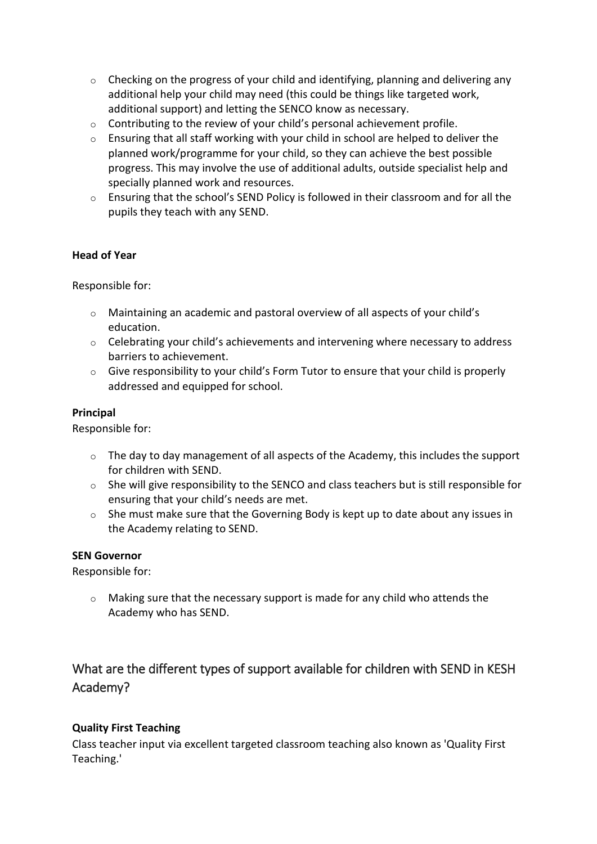- $\circ$  Checking on the progress of your child and identifying, planning and delivering any additional help your child may need (this could be things like targeted work, additional support) and letting the SENCO know as necessary.
- o Contributing to the review of your child's personal achievement profile.
- o Ensuring that all staff working with your child in school are helped to deliver the planned work/programme for your child, so they can achieve the best possible progress. This may involve the use of additional adults, outside specialist help and specially planned work and resources.
- o Ensuring that the school's SEND Policy is followed in their classroom and for all the pupils they teach with any SEND.

#### <span id="page-2-0"></span>**Head of Year**

Responsible for:

- $\circ$  Maintaining an academic and pastoral overview of all aspects of your child's education.
- $\circ$  Celebrating your child's achievements and intervening where necessary to address barriers to achievement.
- $\circ$  Give responsibility to your child's Form Tutor to ensure that your child is properly addressed and equipped for school.

#### <span id="page-2-1"></span>**Principal**

Responsible for:

- $\circ$  The day to day management of all aspects of the Academy, this includes the support for children with SEND.
- o She will give responsibility to the SENCO and class teachers but is still responsible for ensuring that your child's needs are met.
- $\circ$  She must make sure that the Governing Body is kept up to date about any issues in the Academy relating to SEND.

#### <span id="page-2-2"></span>**SEN Governor**

Responsible for:

 $\circ$  Making sure that the necessary support is made for any child who attends the Academy who has SEND.

# <span id="page-2-3"></span>What are the different types of support available for children with SEND in KESH Academy?

#### <span id="page-2-4"></span>**Quality First Teaching**

Class teacher input via excellent targeted classroom teaching also known as 'Quality First Teaching.'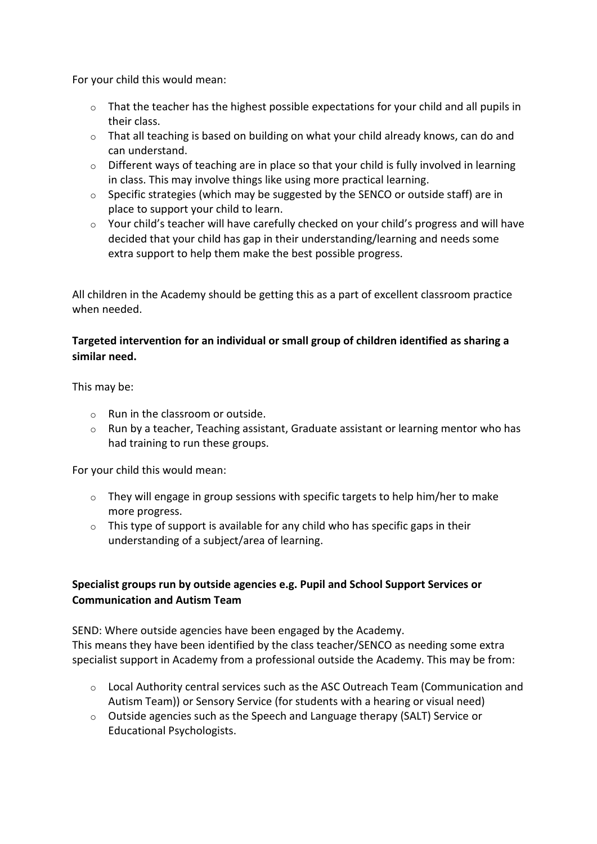For your child this would mean:

- $\circ$  That the teacher has the highest possible expectations for your child and all pupils in their class.
- o That all teaching is based on building on what your child already knows, can do and can understand.
- $\circ$  Different ways of teaching are in place so that your child is fully involved in learning in class. This may involve things like using more practical learning.
- o Specific strategies (which may be suggested by the SENCO or outside staff) are in place to support your child to learn.
- o Your child's teacher will have carefully checked on your child's progress and will have decided that your child has gap in their understanding/learning and needs some extra support to help them make the best possible progress.

All children in the Academy should be getting this as a part of excellent classroom practice when needed.

#### <span id="page-3-0"></span>**Targeted intervention for an individual or small group of children identified as sharing a similar need.**

This may be:

- $\circ$  Run in the classroom or outside.
- $\circ$  Run by a teacher, Teaching assistant, Graduate assistant or learning mentor who has had training to run these groups.

For your child this would mean:

- o They will engage in group sessions with specific targets to help him/her to make more progress.
- $\circ$  This type of support is available for any child who has specific gaps in their understanding of a subject/area of learning.

#### <span id="page-3-1"></span>**Specialist groups run by outside agencies e.g. Pupil and School Support Services or Communication and Autism Team**

SEND: Where outside agencies have been engaged by the Academy. This means they have been identified by the class teacher/SENCO as needing some extra specialist support in Academy from a professional outside the Academy. This may be from:

- $\circ$  Local Authority central services such as the ASC Outreach Team (Communication and Autism Team)) or Sensory Service (for students with a hearing or visual need)
- $\circ$  Outside agencies such as the Speech and Language therapy (SALT) Service or Educational Psychologists.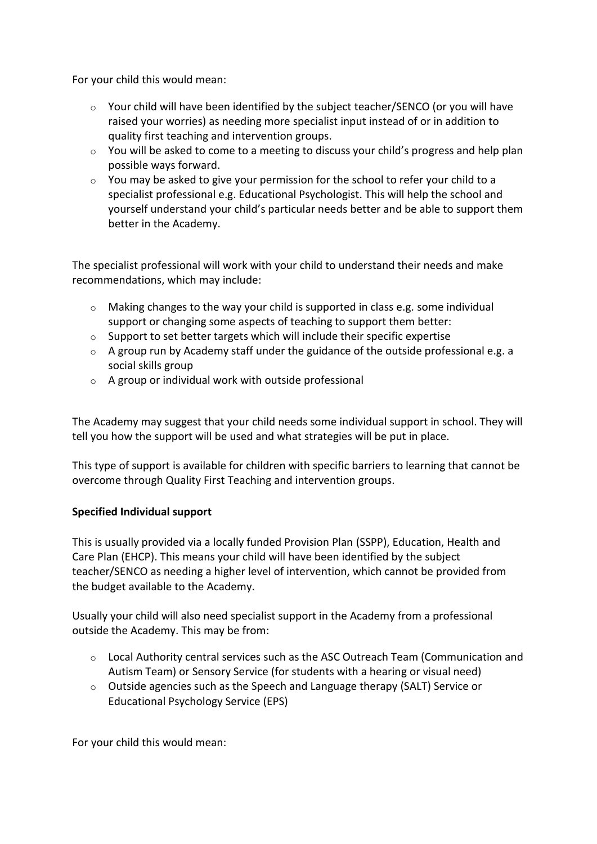For your child this would mean:

- $\circ$  Your child will have been identified by the subject teacher/SENCO (or you will have raised your worries) as needing more specialist input instead of or in addition to quality first teaching and intervention groups.
- o You will be asked to come to a meeting to discuss your child's progress and help plan possible ways forward.
- $\circ$  You may be asked to give your permission for the school to refer your child to a specialist professional e.g. Educational Psychologist. This will help the school and yourself understand your child's particular needs better and be able to support them better in the Academy.

The specialist professional will work with your child to understand their needs and make recommendations, which may include:

- o Making changes to the way your child is supported in class e.g. some individual support or changing some aspects of teaching to support them better:
- o Support to set better targets which will include their specific expertise
- $\circ$  A group run by Academy staff under the guidance of the outside professional e.g. a social skills group
- $\circ$  A group or individual work with outside professional

The Academy may suggest that your child needs some individual support in school. They will tell you how the support will be used and what strategies will be put in place.

This type of support is available for children with specific barriers to learning that cannot be overcome through Quality First Teaching and intervention groups.

#### <span id="page-4-0"></span>**Specified Individual support**

This is usually provided via a locally funded Provision Plan (SSPP), Education, Health and Care Plan (EHCP). This means your child will have been identified by the subject teacher/SENCO as needing a higher level of intervention, which cannot be provided from the budget available to the Academy.

Usually your child will also need specialist support in the Academy from a professional outside the Academy. This may be from:

- $\circ$  Local Authority central services such as the ASC Outreach Team (Communication and Autism Team) or Sensory Service (for students with a hearing or visual need)
- $\circ$  Outside agencies such as the Speech and Language therapy (SALT) Service or Educational Psychology Service (EPS)

For your child this would mean: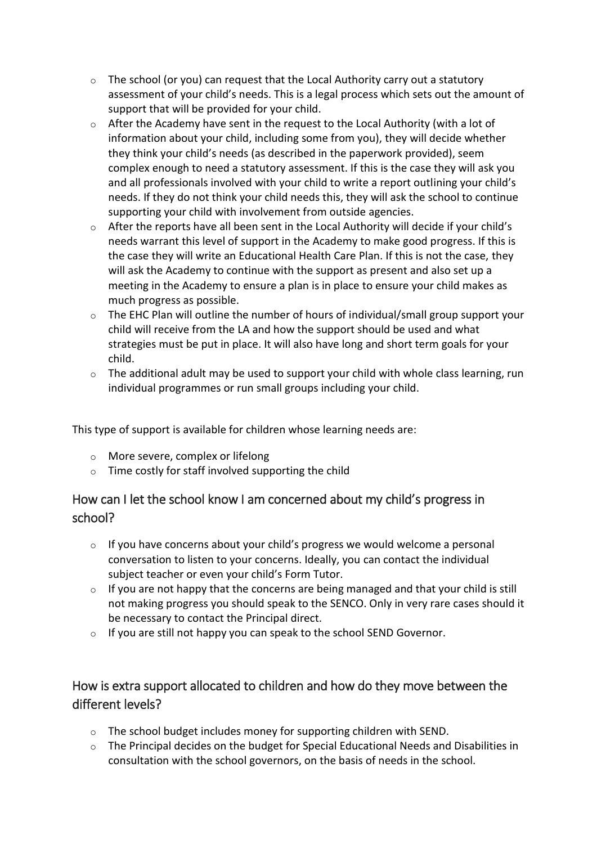- $\circ$  The school (or you) can request that the Local Authority carry out a statutory assessment of your child's needs. This is a legal process which sets out the amount of support that will be provided for your child.
- $\circ$  After the Academy have sent in the request to the Local Authority (with a lot of information about your child, including some from you), they will decide whether they think your child's needs (as described in the paperwork provided), seem complex enough to need a statutory assessment. If this is the case they will ask you and all professionals involved with your child to write a report outlining your child's needs. If they do not think your child needs this, they will ask the school to continue supporting your child with involvement from outside agencies.
- $\circ$  After the reports have all been sent in the Local Authority will decide if your child's needs warrant this level of support in the Academy to make good progress. If this is the case they will write an Educational Health Care Plan. If this is not the case, they will ask the Academy to continue with the support as present and also set up a meeting in the Academy to ensure a plan is in place to ensure your child makes as much progress as possible.
- $\circ$  The EHC Plan will outline the number of hours of individual/small group support your child will receive from the LA and how the support should be used and what strategies must be put in place. It will also have long and short term goals for your child.
- $\circ$  The additional adult may be used to support your child with whole class learning, run individual programmes or run small groups including your child.

This type of support is available for children whose learning needs are:

- o More severe, complex or lifelong
- o Time costly for staff involved supporting the child

# <span id="page-5-0"></span>How can I let the school know I am concerned about my child's progress in school?

- $\circ$  If you have concerns about your child's progress we would welcome a personal conversation to listen to your concerns. Ideally, you can contact the individual subject teacher or even your child's Form Tutor.
- $\circ$  If you are not happy that the concerns are being managed and that your child is still not making progress you should speak to the SENCO. Only in very rare cases should it be necessary to contact the Principal direct.
- $\circ$  If you are still not happy you can speak to the school SEND Governor.

# <span id="page-5-1"></span>How is extra support allocated to children and how do they move between the different levels?

- o The school budget includes money for supporting children with SEND.
- o The Principal decides on the budget for Special Educational Needs and Disabilities in consultation with the school governors, on the basis of needs in the school.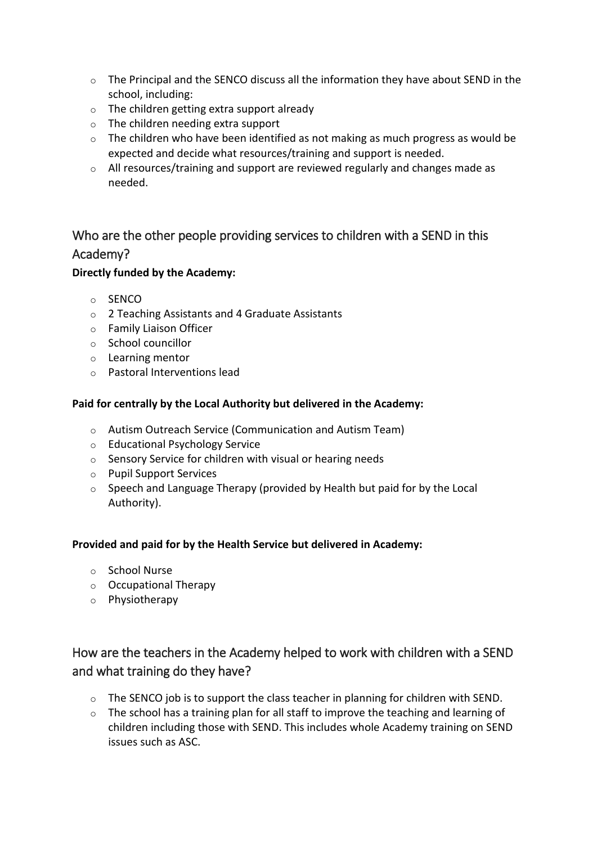- $\circ$  The Principal and the SENCO discuss all the information they have about SEND in the school, including:
- $\circ$  The children getting extra support already
- o The children needing extra support
- $\circ$  The children who have been identified as not making as much progress as would be expected and decide what resources/training and support is needed.
- o All resources/training and support are reviewed regularly and changes made as needed.

# <span id="page-6-0"></span>Who are the other people providing services to children with a SEND in this Academy?

#### <span id="page-6-1"></span>**Directly funded by the Academy:**

- o SENCO
- o 2 Teaching Assistants and 4 Graduate Assistants
- o Family Liaison Officer
- o School councillor
- o Learning mentor
- o Pastoral Interventions lead

#### <span id="page-6-2"></span>**Paid for centrally by the Local Authority but delivered in the Academy:**

- o Autism Outreach Service (Communication and Autism Team)
- o Educational Psychology Service
- o Sensory Service for children with visual or hearing needs
- o Pupil Support Services
- $\circ$  Speech and Language Therapy (provided by Health but paid for by the Local Authority).

#### <span id="page-6-3"></span>**Provided and paid for by the Health Service but delivered in Academy:**

- o School Nurse
- o Occupational Therapy
- o Physiotherapy

# <span id="page-6-4"></span>How are the teachers in the Academy helped to work with children with a SEND and what training do they have?

- $\circ$  The SENCO job is to support the class teacher in planning for children with SEND.
- o The school has a training plan for all staff to improve the teaching and learning of children including those with SEND. This includes whole Academy training on SEND issues such as ASC.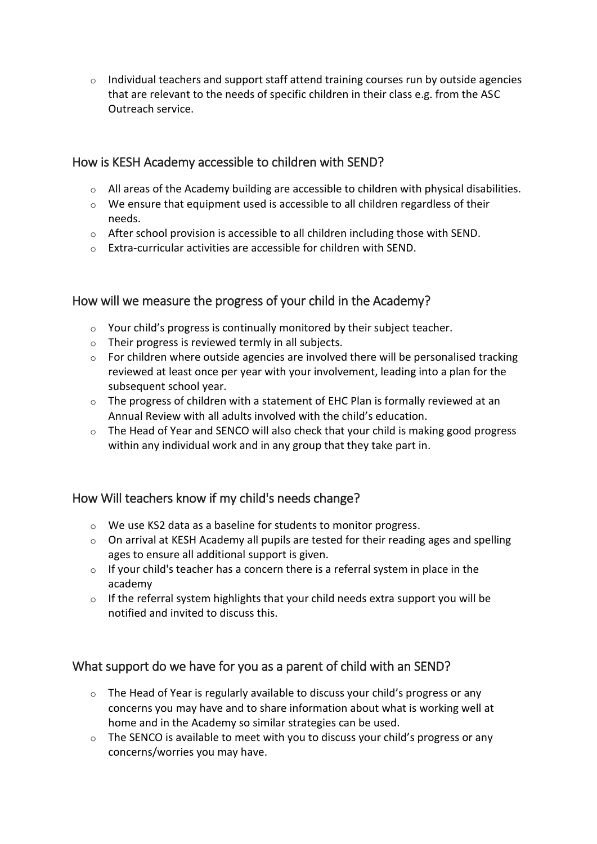$\circ$  Individual teachers and support staff attend training courses run by outside agencies that are relevant to the needs of specific children in their class e.g. from the ASC Outreach service.

## <span id="page-7-0"></span>How is KESH Academy accessible to children with SEND?

- o All areas of the Academy building are accessible to children with physical disabilities.
- o We ensure that equipment used is accessible to all children regardless of their needs.
- $\circ$  After school provision is accessible to all children including those with SEND.
- o Extra-curricular activities are accessible for children with SEND.

### <span id="page-7-1"></span>How will we measure the progress of your child in the Academy?

- o Your child's progress is continually monitored by their subject teacher.
- $\circ$  Their progress is reviewed termly in all subjects.
- $\circ$  For children where outside agencies are involved there will be personalised tracking reviewed at least once per year with your involvement, leading into a plan for the subsequent school year.
- $\circ$  The progress of children with a statement of EHC Plan is formally reviewed at an Annual Review with all adults involved with the child's education.
- o The Head of Year and SENCO will also check that your child is making good progress within any individual work and in any group that they take part in.

### <span id="page-7-2"></span>How Will teachers know if my child's needs change?

- o We use KS2 data as a baseline for students to monitor progress.
- $\circ$  On arrival at KESH Academy all pupils are tested for their reading ages and spelling ages to ensure all additional support is given.
- $\circ$  If your child's teacher has a concern there is a referral system in place in the academy
- $\circ$  If the referral system highlights that your child needs extra support you will be notified and invited to discuss this.

## <span id="page-7-3"></span>What support do we have for you as a parent of child with an SEND?

- o The Head of Year is regularly available to discuss your child's progress or any concerns you may have and to share information about what is working well at home and in the Academy so similar strategies can be used.
- $\circ$  The SENCO is available to meet with you to discuss your child's progress or any concerns/worries you may have.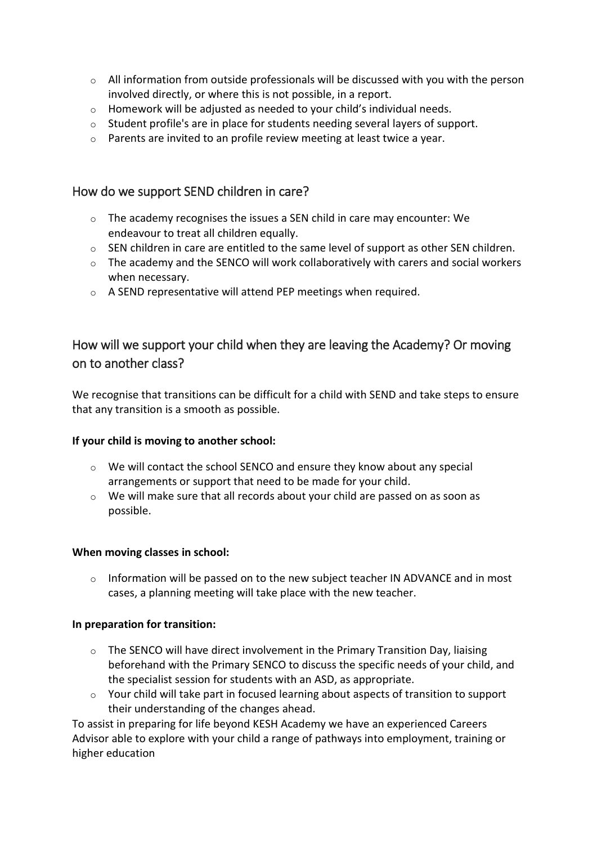- $\circ$  All information from outside professionals will be discussed with you with the person involved directly, or where this is not possible, in a report.
- o Homework will be adjusted as needed to your child's individual needs.
- $\circ$  Student profile's are in place for students needing several layers of support.
- o Parents are invited to an profile review meeting at least twice a year.

### <span id="page-8-0"></span>How do we support SEND children in care?

- $\circ$  The academy recognises the issues a SEN child in care may encounter: We endeavour to treat all children equally.
- o SEN children in care are entitled to the same level of support as other SEN children.
- o The academy and the SENCO will work collaboratively with carers and social workers when necessary.
- o A SEND representative will attend PEP meetings when required.

## <span id="page-8-1"></span>How will we support your child when they are leaving the Academy? Or moving on to another class?

We recognise that transitions can be difficult for a child with SEND and take steps to ensure that any transition is a smooth as possible.

#### <span id="page-8-2"></span>**If your child is moving to another school:**

- $\circ$  We will contact the school SENCO and ensure they know about any special arrangements or support that need to be made for your child.
- $\circ$  We will make sure that all records about your child are passed on as soon as possible.

#### <span id="page-8-3"></span>**When moving classes in school:**

 $\circ$  Information will be passed on to the new subject teacher IN ADVANCE and in most cases, a planning meeting will take place with the new teacher.

#### <span id="page-8-4"></span>**In preparation for transition:**

- o The SENCO will have direct involvement in the Primary Transition Day, liaising beforehand with the Primary SENCO to discuss the specific needs of your child, and the specialist session for students with an ASD, as appropriate.
- $\circ$  Your child will take part in focused learning about aspects of transition to support their understanding of the changes ahead.

To assist in preparing for life beyond KESH Academy we have an experienced Careers Advisor able to explore with your child a range of pathways into employment, training or higher education